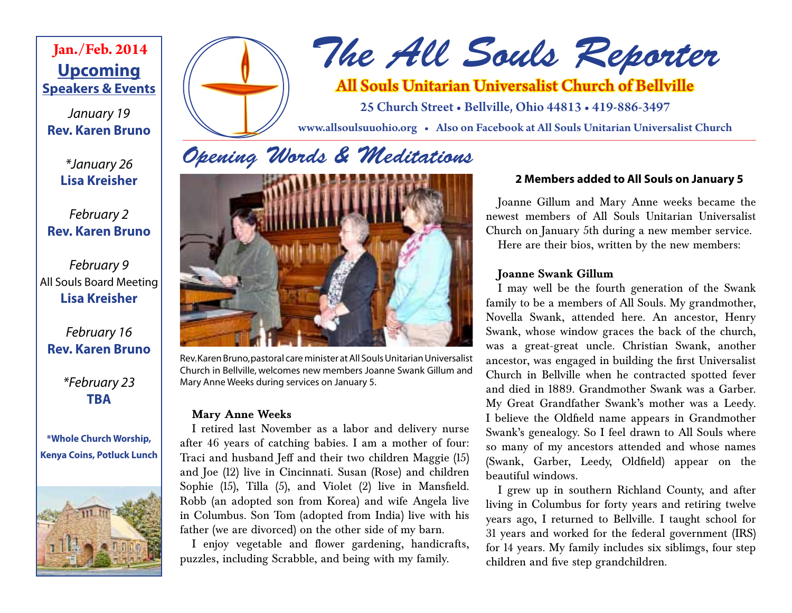## **Upcoming Speakers & Events Jan./Feb. 2014**

*January 19* **Rev. Karen Bruno**

> *\*January 26* **Lisa Kreisher**

*February 2* **Rev. Karen Bruno**

## *February 9* All Souls Board Meeting **Lisa Kreisher**

## *February 16* **Rev. Karen Bruno**

*\*February 23* **TBA**

**\*Whole Church Worship, Kenya Coins, Potluck Lunch**





# *The All Souls Reporter*

## All Souls Unitarian Universalist Church of Bellville

25 Church Street • Bellville, Ohio 44813 • 419-886-3497

www.allsoulsuuohio.org • Also on Facebook at All Souls Unitarian Universalist Church

## *Opening Words & Meditations*



Rev. Karen Bruno, pastoral care minister at All Souls Unitarian Universalist Church in Bellville, welcomes new members Joanne Swank Gillum and Mary Anne Weeks during services on January 5.

### **Mary Anne Weeks**

I retired last November as a labor and delivery nurse after 46 years of catching babies. I am a mother of four: Traci and husband Jeff and their two children Maggie (15) and Joe (12) live in Cincinnati. Susan (Rose) and children Sophie (15), Tilla (5), and Violet (2) live in Mansfield. Robb (an adopted son from Korea) and wife Angela live in Columbus. Son Tom (adopted from India) live with his father (we are divorced) on the other side of my barn.

I enjoy vegetable and flower gardening, handicrafts, puzzles, including Scrabble, and being with my family.

## **2 Members added to All Souls on January 5**

Joanne Gillum and Mary Anne weeks became the newest members of All Souls Unitarian Universalist Church on January 5th during a new member service. Here are their bios, written by the new members:

### **Joanne Swank Gillum**

I may well be the fourth generation of the Swank family to be a members of All Souls. My grandmother, Novella Swank, attended here. An ancestor, Henry Swank, whose window graces the back of the church, was a great-great uncle. Christian Swank, another ancestor, was engaged in building the first Universalist Church in Bellville when he contracted spotted fever and died in 1889. Grandmother Swank was a Garber. My Great Grandfather Swank's mother was a Leedy. I believe the Oldfield name appears in Grandmother Swank's genealogy. So I feel drawn to All Souls where so many of my ancestors attended and whose names (Swank, Garber, Leedy, Oldfield) appear on the beautiful windows.

I grew up in southern Richland County, and after living in Columbus for forty years and retiring twelve years ago, I returned to Bellville. I taught school for 31 years and worked for the federal government (IRS) for 14 years. My family includes six siblimgs, four step children and five step grandchildren.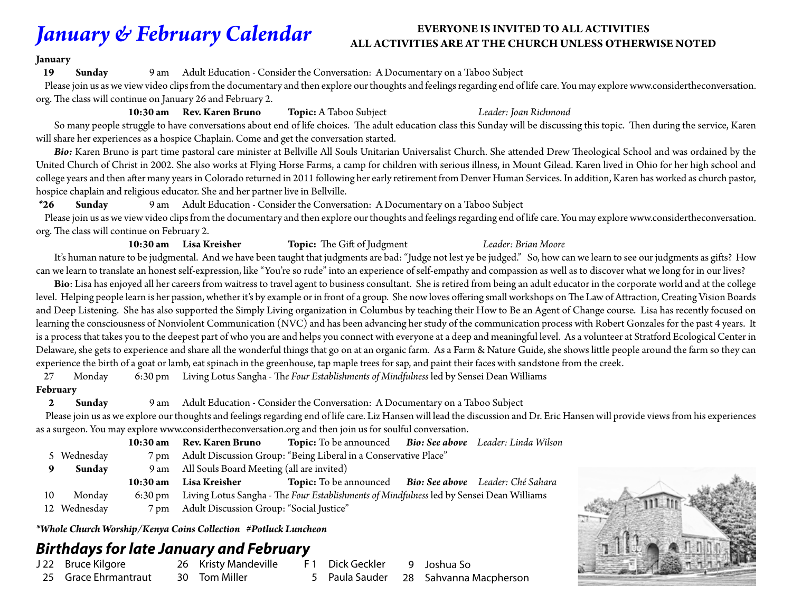## *January & February Calendar*

### **EVERYONE IS INVITED TO ALL ACTIVITIES ALL ACTIVITIES ARE AT THE CHURCH UNLESS OTHERWISE NOTED**

#### **January**

**19 Sunday** 9 am Adult Education - Consider the Conversation: A Documentary on a Taboo Subject

 Please join us as we view video clips from the documentary and then explore our thoughts and feelings regarding end of life care. You may explore www.considertheconversation. org. The class will continue on January 26 and February 2.

 **10:30 am Rev. Karen Bruno Topic:** A Taboo Subject *Leader: Joan Richmond* So many people struggle to have conversations about end of life choices. The adult education class this Sunday will be discussing this topic. Then during the service, Karen will share her experiences as a hospice Chaplain. Come and get the conversation started.

Bio: Karen Bruno is part time pastoral care minister at Bellville All Souls Unitarian Universalist Church. She attended Drew Theological School and was ordained by the United Church of Christ in 2002. She also works at Flying Horse Farms, a camp for children with serious illness, in Mount Gilead. Karen lived in Ohio for her high school and college years and then after many years in Colorado returned in 2011 following her early retirement from Denver Human Services. In addition, Karen has worked as church pastor, hospice chaplain and religious educator. She and her partner live in Bellville.

**\*26 Sunday** 9 am Adult Education - Consider the Conversation: A Documentary on a Taboo Subject

 Please join us as we view video clips from the documentary and then explore our thoughts and feelings regarding end of life care. You may explore www.considertheconversation. org. The class will continue on February 2.

#### **10:30 am Lisa Kreisher Topic:** The Gift of Judgment *Leader: Brian Moore*

 It's human nature to be judgmental. And we have been taught that judgments are bad: "Judge not lest ye be judged." So, how can we learn to see our judgments as gifts? How can we learn to translate an honest self-expression, like "You're so rude" into an experience of self-empathy and compassion as well as to discover what we long for in our lives?

 **Bio**: Lisa has enjoyed all her careers from waitress to travel agent to business consultant. She is retired from being an adult educator in the corporate world and at the college level. Helping people learn is her passion, whether it's by example or in front of a group. She now loves offering small workshops on The Law of Attraction, Creating Vision Boards and Deep Listening. She has also supported the Simply Living organization in Columbus by teaching their How to Be an Agent of Change course. Lisa has recently focused on learning the consciousness of Nonviolent Communication (NVC) and has been advancing her study of the communication process with Robert Gonzales for the past 4 years. It is a process that takes you to the deepest part of who you are and helps you connect with everyone at a deep and meaningful level. As a volunteer at Stratford Ecological Center in Delaware, she gets to experience and share all the wonderful things that go on at an organic farm. As a Farm & Nature Guide, she shows little people around the farm so they can experience the birth of a goat or lamb, eat spinach in the greenhouse, tap maple trees for sap, and paint their faces with sandstone from the creek.

27 Monday 6:30 pm Living Lotus Sangha - Th*e Four Establishments of Mindfulness* led by Sensei Dean Williams

### **February**

**2 Sunday** 9 am Adult Education - Consider the Conversation: A Documentary on a Taboo Subject

 Please join us as we explore our thoughts and feelings regarding end of life care. Liz Hansen will lead the discussion and Dr. Eric Hansen will provide views from his experiences as a surgeon. You may explore www.considertheconversation.org and then join us for soulful conversation.

|    |             | 10:30 am Rev. Karen Bruno                                            | Topic: To be announced Bio: See above Leader: Linda Wilson                                       |  |  |
|----|-------------|----------------------------------------------------------------------|--------------------------------------------------------------------------------------------------|--|--|
|    | 5 Wednesday | 7 pm Adult Discussion Group: "Being Liberal in a Conservative Place" |                                                                                                  |  |  |
|    | Sunday      | 9 am All Souls Board Meeting (all are invited)                       |                                                                                                  |  |  |
|    |             |                                                                      |                                                                                                  |  |  |
|    |             | 10:30 am Lisa Kreisher                                               | Topic: To be announced Bio: See above Leader: Ché Sahara                                         |  |  |
| 10 | Monday      |                                                                      | 6:30 pm Living Lotus Sangha - The Four Establishments of Mindfulness led by Sensei Dean Williams |  |  |

*\*Whole Church Worship/Kenya Coins Collection #Potluck Luncheon*

## *Birthdays for late January and February*

J 22 Bruce Kilgore 25 Grace Ehrmantraut

- 26 Kristy Mandeville 30 Tom Miller
- F 1 Dick Geckler 5 Paula Sauder
- 9 Joshua So 28 Sahvanna Macpherson

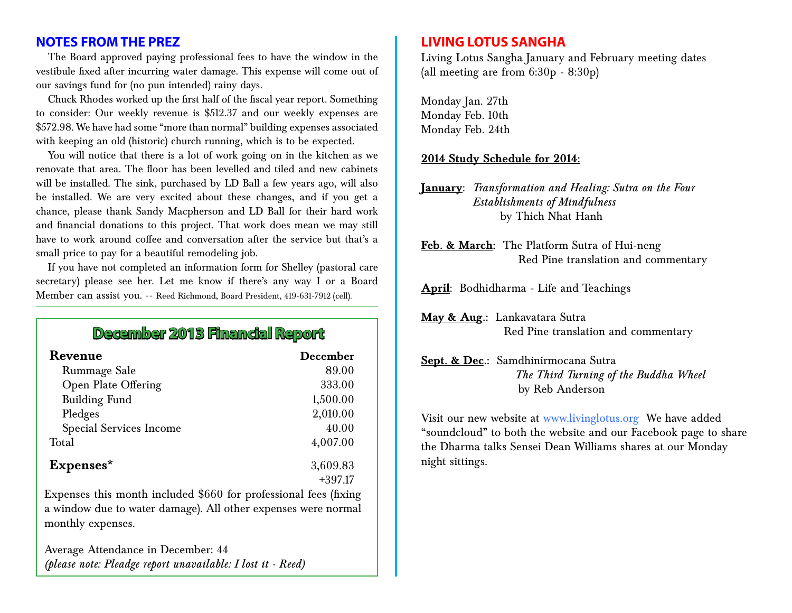## **NOTES FROM THE PREZ**

The Board approved paying professional fees to have the window in the vestibule fixed after incurring water damage. This expense will come out of our savings fund for (no pun intended) rainy days.

Chuck Rhodes worked up the first half of the fiscal year report. Something to consider: Our weekly revenue is \$512.37 and our weekly expenses are \$572.98. We have had some "more than normal" building expenses associated with keeping an old (historic) church running, which is to be expected.

You will notice that there is a lot of work going on in the kitchen as we renovate that area. The floor has been levelled and tiled and new cabinets will be installed. The sink, purchased by LD Ball a few years ago, will also be installed. We are very excited about these changes, and if you get a chance, please thank Sandy Macpherson and LD Ball for their hard work and financial donations to this project. That work does mean we may still have to work around coffee and conversation after the service but that's a small price to pay for a beautiful remodeling job.

If you have not completed an information form for Shelley (pastoral care secretary) please see her. Let me know if there's any way I or a Board Member can assist you. -- Reed Richmond, Board President, 419-631-7912 (cell).

## **December 2013 Financial Report**

| Revenue                        | <b>December</b> |
|--------------------------------|-----------------|
| Rummage Sale                   | 89.00           |
| Open Plate Offering            | 333.00          |
| <b>Building Fund</b>           | 1,500.00        |
| Pledges                        | 2,010.00        |
| <b>Special Services Income</b> | 40.00           |
| Total                          | 4,007.00        |
| Expenses*                      | 3,609.83        |
|                                | $+397.17$       |

Expenses this month included \$660 for professional fees (fixing a window due to water damage). All other expenses were normal monthly expenses.

Average Attendance in December: 44 *(please note: Pleadge report unavailable: I lost it - Reed)*

## **LIVING LOTUS SANGHA**

Living Lotus Sangha January and February meeting dates (all meeting are from 6:30p - 8:30p)

Monday Jan. 27th Monday Feb. 10th Monday Feb. 24th

#### **2014 Study Schedule for 2014:**

**January**: *Transformation and Healing: Sutra on the Four Establishments of Mindfulness* by Thich Nhat Hanh

**Feb. & March:** The Platform Sutra of Hui-neng Red Pine translation and commentary

**April**: Bodhidharma - Life and Teachings

**May & Aug.:** Lankavatara Sutra Red Pine translation and commentary

### **Sept. & Dec.:** Samdhinirmocana Sutra *The Third Turning of the Buddha Wheel* by Reb Anderson

Visit our new website at www.livinglotus.org We have added "soundcloud" to both the website and our Facebook page to share the Dharma talks Sensei Dean Williams shares at our Monday night sittings.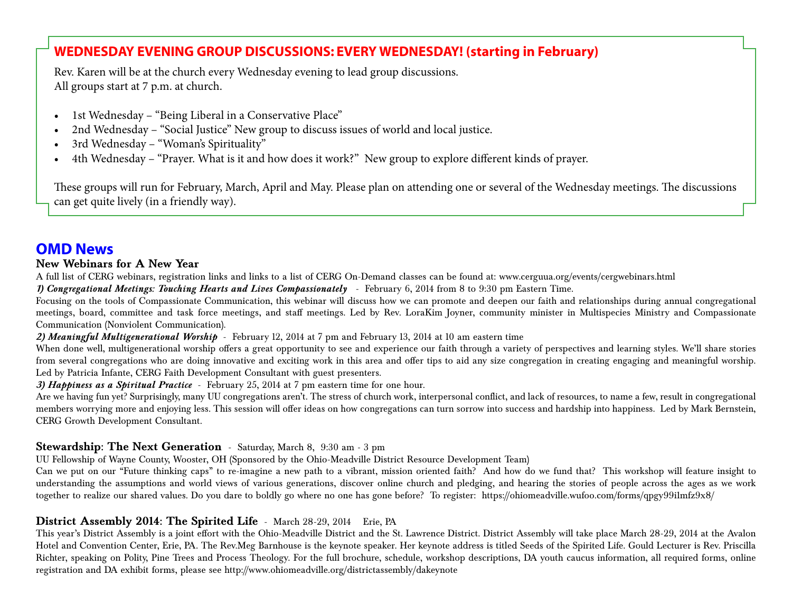## **WEDNESDAY EVENING GROUP DISCUSSIONS: EVERY WEDNESDAY! (starting in February)**

Rev. Karen will be at the church every Wednesday evening to lead group discussions. All groups start at 7 p.m. at church.

- 1st Wednesday "Being Liberal in a Conservative Place"
- 2nd Wednesday "Social Justice" New group to discuss issues of world and local justice.
- 3rd Wednesday "Woman's Spirituality"
- 4th Wednesday "Prayer. What is it and how does it work?" New group to explore different kinds of prayer.

These groups will run for February, March, April and May. Please plan on attending one or several of the Wednesday meetings. The discussions can get quite lively (in a friendly way).

## **OMD News**

#### **New Webinars for A New Year**

A full list of CERG webinars, registration links and links to a list of CERG On-Demand classes can be found at: www.cerguua.org/events/cergwebinars.html

*1) Congregational Meetings: Touching Hearts and Lives Compassionately* - February 6, 2014 from 8 to 9:30 pm Eastern Time.

Focusing on the tools of Compassionate Communication, this webinar will discuss how we can promote and deepen our faith and relationships during annual congregational meetings, board, committee and task force meetings, and staff meetings. Led by Rev. LoraKim Joyner, community minister in Multispecies Ministry and Compassionate Communication (Nonviolent Communication).

#### *2) Meaningful Multigenerational Worship* - February 12, 2014 at 7 pm and February 13, 2014 at 10 am eastern time

When done well, multigenerational worship offers a great opportunity to see and experience our faith through a variety of perspectives and learning styles. We'll share stories from several congregations who are doing innovative and exciting work in this area and offer tips to aid any size congregation in creating engaging and meaningful worship. Led by Patricia Infante, CERG Faith Development Consultant with guest presenters.

*3) Happiness as a Spiritual Practice* - February 25, 2014 at 7 pm eastern time for one hour.

Are we having fun yet? Surprisingly, many UU congregations aren't. The stress of church work, interpersonal conflict, and lack of resources, to name a few, result in congregational members worrying more and enjoying less. This session will offer ideas on how congregations can turn sorrow into success and hardship into happiness. Led by Mark Bernstein, CERG Growth Development Consultant.

### **Stewardship: The Next Generation** - Saturday, March 8, 9:30 am - 3 pm

UU Fellowship of Wayne County, Wooster, OH (Sponsored by the Ohio-Meadville District Resource Development Team)

Can we put on our "Future thinking caps" to re-imagine a new path to a vibrant, mission oriented faith? And how do we fund that? This workshop will feature insight to understanding the assumptions and world views of various generations, discover online church and pledging, and hearing the stories of people across the ages as we work together to realize our shared values. Do you dare to boldly go where no one has gone before? To register: https://ohiomeadville.wufoo.com/forms/qpgy99ilmfz9x8/

### **District Assembly 2014: The Spirited Life** - March 28-29, 2014 Erie, PA

This year's District Assembly is a joint effort with the Ohio-Meadville District and the St. Lawrence District. District Assembly will take place March 28-29, 2014 at the Avalon Hotel and Convention Center, Erie, PA. The Rev.Meg Barnhouse is the keynote speaker. Her keynote address is titled Seeds of the Spirited Life. Gould Lecturer is Rev. Priscilla Richter, speaking on Polity, Pine Trees and Process Theology. For the full brochure, schedule, workshop descriptions, DA youth caucus information, all required forms, online registration and DA exhibit forms, please see http://www.ohiomeadville.org/districtassembly/dakeynote